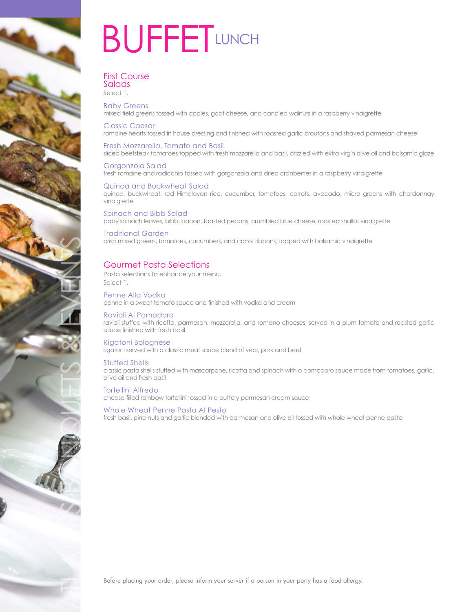

# **BUFFETLUNCH**

### First Course Salads

Select 1.

Baby Greens mixed field greens tossed with apples, goat cheese, and candied walnuts in a raspberry vinaigrette

Classic Caesar romaine hearts tossed in house dressing and finished with roasted garlic croutons and shaved parmesan cheese

## Fresh Mozzarella, Tomato and Basil

sliced beefsteak tomatoes topped with fresh mozzarella and basil, drizzled with extra virgin olive oil and balsamic glaze

Gorgonzola Salad fresh romaine and radicchio tossed with gorgonzola and dried cranberries in a raspberry vinaigrette

#### Quinoa and Buckwheat Salad quinoa, buckwheat, red Himalayan rice, cucumber, tomatoes, carrots, avocado, micro greens with chardonnay vinaigrette

Spinach and Bibb Salad baby spinach leaves, bibb, bacon, toasted pecans, crumbled blue cheese, roasted shallot vinaigrette

### Traditional Garden crisp mixed greens, tomatoes, cucumbers, and carrot ribbons, topped with balsamic vinaigrette

## Gourmet Pasta Selections

Pasta selections to enhance your menu. Select 1.

Penne Alla Vodka penne in a sweet tomato sauce and finished with vodka and cream

## Ravioli Al Pomodoro

ravioli stuffed with ricotta, parmesan, mozzarella, and romano cheeses, served in a plum tomato and roasted garlic sauce finished with fresh basil

## Rigatoni Bolognese

rigatoni served with a classic meat sauce blend of veal, pork and beef

## Stuffed Shells

classic pasta shells stuffed with mascarpone, ricotta and spinach with a pomodoro sauce made from tomatoes, garlic, olive oil and fresh basil

### Tortellini Alfredo

cheese-filled rainbow tortellini tossed in a buttery parmesan cream sauce

## Whole Wheat Penne Pasta Al Pesto

fresh basil, pine nuts and garlic blended with parmesan and olive oil tossed with whole wheat penne pasta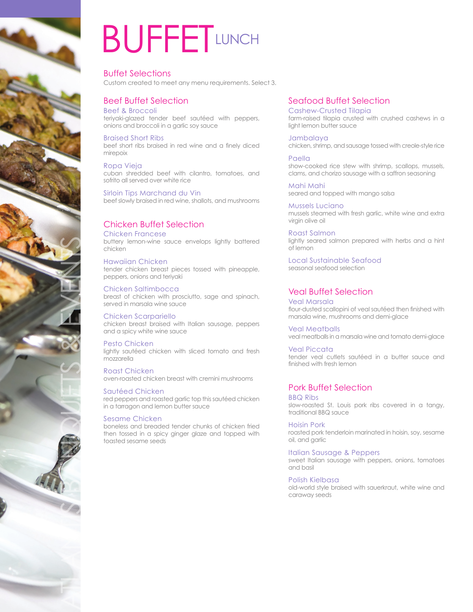

# **BUFFETLUNCH**

### Buffet Selections Custom created to meet any menu requirements. Select 3.

# Beef Buffet Selection

Beef & Broccoli teriyaki-glazed tender beef sautéed with peppers, onions and broccoli in a garlic soy sauce

Braised Short Ribs beef short ribs braised in red wine and a finely diced mirepoix

Ropa Vieja cuban shredded beef with cilantro, tomatoes, and sofrito all served over white rice

Sirloin Tips Marchand du Vin beef slowly braised in red wine, shallots, and mushrooms

# Chicken Buffet Selection

Chicken Francese

buttery lemon-wine sauce envelops lightly battered chicken

Hawaiian Chicken tender chicken breast pieces tossed with pineapple, peppers, onions and teriyaki

Chicken Saltimbocca breast of chicken with prosciutto, sage and spinach, served in marsala wine sauce

Chicken Scarpariello chicken breast braised with Italian sausage, peppers and a spicy white wine sauce

Pesto Chicken lightly sautéed chicken with sliced tomato and fresh mozzarella

Roast Chicken oven-roasted chicken breast with cremini mushrooms

## Sautéed Chicken

red peppers and roasted garlic top this sautéed chicken in a tarragon and lemon butter sauce

## Sesame Chicken

boneless and breaded tender chunks of chicken fried then tossed in a spicy ginger glaze and topped with toasted sesame seeds

## Seafood Buffet Selection

Cashew-Crusted Tilapia farm-raised tilapia crusted with crushed cashews in a light lemon butter sauce

Jambalaya chicken, shrimp, and sausage tossed with creole-style rice

Paella show-cooked rice stew with shrimp, scallops, mussels, clams, and chorizo sausage with a saffron seasoning

Mahi Mahi seared and topped with mango salsa

Mussels Luciano mussels steamed with fresh garlic, white wine and extra virgin olive oil

Roast Salmon lightly seared salmon prepared with herbs and a hint of lemon

Local Sustainable Seafood seasonal seafood selection

## Veal Buffet Selection

Veal Marsala flour-dusted scallopini of veal sautéed then finished with marsala wine, mushrooms and demi-glace

Veal Meatballs veal meatballs in a marsala wine and tomato demi-glace

Veal Piccata tender veal cutlets sautéed in a butter sauce and finished with fresh lemon

## Pork Buffet Selection

BBQ Ribs

slow-roasted St. Louis pork ribs covered in a tangy, traditional BBQ sauce

Hoisin Pork

roasted pork tenderloin marinated in hoisin, soy, sesame oil, and garlic

## Italian Sausage & Peppers

sweet Italian sausage with peppers, onions, tomatoes and basil

## Polish Kielbasa

old-world style braised with sauerkraut, white wine and caraway seeds